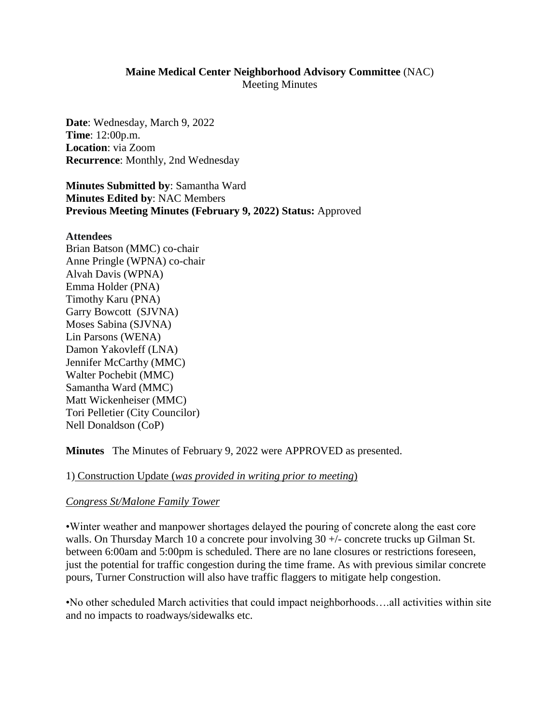## **Maine Medical Center Neighborhood Advisory Committee** (NAC)

Meeting Minutes

**Date**: Wednesday, March 9, 2022 **Time**: 12:00p.m. **Location**: via Zoom **Recurrence**: Monthly, 2nd Wednesday

**Minutes Submitted by**: Samantha Ward **Minutes Edited by**: NAC Members **Previous Meeting Minutes (February 9, 2022) Status:** Approved

**Attendees**  Brian Batson (MMC) co-chair Anne Pringle (WPNA) co-chair Alvah Davis (WPNA) Emma Holder (PNA) Timothy Karu (PNA) Garry Bowcott (SJVNA) Moses Sabina (SJVNA) Lin Parsons (WENA) Damon Yakovleff (LNA) Jennifer McCarthy (MMC) Walter Pochebit (MMC) Samantha Ward (MMC) Matt Wickenheiser (MMC) Tori Pelletier (City Councilor) Nell Donaldson (CoP)

**Minutes** The Minutes of February 9, 2022 were APPROVED as presented.

1) Construction Update (*was provided in writing prior to meeting*)

# *Congress St/Malone Family Tower*

•Winter weather and manpower shortages delayed the pouring of concrete along the east core walls. On Thursday March 10 a concrete pour involving 30 +/- concrete trucks up Gilman St. between 6:00am and 5:00pm is scheduled. There are no lane closures or restrictions foreseen, just the potential for traffic congestion during the time frame. As with previous similar concrete pours, Turner Construction will also have traffic flaggers to mitigate help congestion.

•No other scheduled March activities that could impact neighborhoods….all activities within site and no impacts to roadways/sidewalks etc.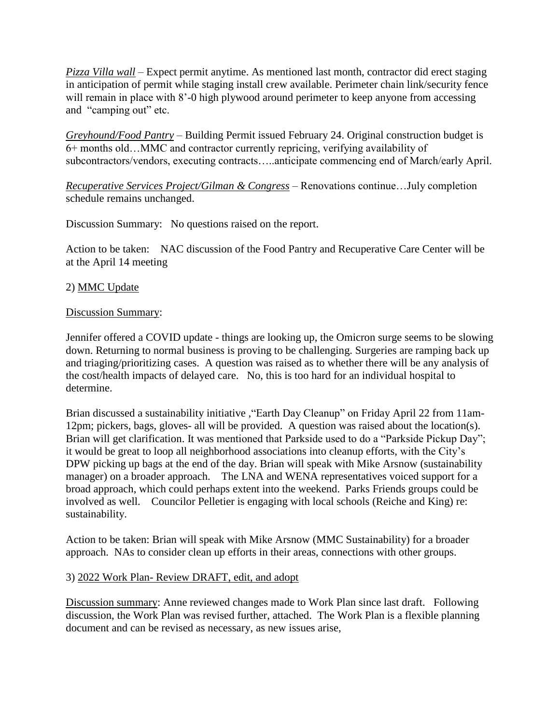*Pizza Villa wall* – Expect permit anytime. As mentioned last month, contractor did erect staging in anticipation of permit while staging install crew available. Perimeter chain link/security fence will remain in place with 8'-0 high plywood around perimeter to keep anyone from accessing and "camping out" etc.

*Greyhound/Food Pantry* – Building Permit issued February 24. Original construction budget is 6+ months old…MMC and contractor currently repricing, verifying availability of subcontractors/vendors, executing contracts…..anticipate commencing end of March/early April.

*Recuperative Services Project/Gilman & Congress* – Renovations continue…July completion schedule remains unchanged.

Discussion Summary: No questions raised on the report.

Action to be taken: NAC discussion of the Food Pantry and Recuperative Care Center will be at the April 14 meeting

## 2) MMC Update

## Discussion Summary:

Jennifer offered a COVID update - things are looking up, the Omicron surge seems to be slowing down. Returning to normal business is proving to be challenging. Surgeries are ramping back up and triaging/prioritizing cases. A question was raised as to whether there will be any analysis of the cost/health impacts of delayed care. No, this is too hard for an individual hospital to determine.

Brian discussed a sustainability initiative ,"Earth Day Cleanup" on Friday April 22 from 11am-12pm; pickers, bags, gloves- all will be provided. A question was raised about the location(s). Brian will get clarification. It was mentioned that Parkside used to do a "Parkside Pickup Day"; it would be great to loop all neighborhood associations into cleanup efforts, with the City's DPW picking up bags at the end of the day. Brian will speak with Mike Arsnow (sustainability manager) on a broader approach. The LNA and WENA representatives voiced support for a broad approach, which could perhaps extent into the weekend. Parks Friends groups could be involved as well. Councilor Pelletier is engaging with local schools (Reiche and King) re: sustainability.

Action to be taken: Brian will speak with Mike Arsnow (MMC Sustainability) for a broader approach. NAs to consider clean up efforts in their areas, connections with other groups.

## 3) 2022 Work Plan- Review DRAFT, edit, and adopt

Discussion summary: Anne reviewed changes made to Work Plan since last draft. Following discussion, the Work Plan was revised further, attached. The Work Plan is a flexible planning document and can be revised as necessary, as new issues arise,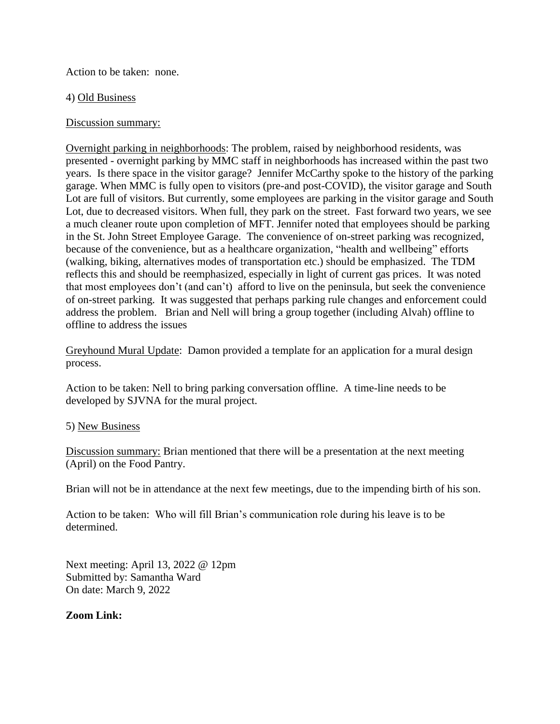Action to be taken: none.

### 4) Old Business

## Discussion summary:

Overnight parking in neighborhoods: The problem, raised by neighborhood residents, was presented - overnight parking by MMC staff in neighborhoods has increased within the past two years. Is there space in the visitor garage? Jennifer McCarthy spoke to the history of the parking garage. When MMC is fully open to visitors (pre-and post-COVID), the visitor garage and South Lot are full of visitors. But currently, some employees are parking in the visitor garage and South Lot, due to decreased visitors. When full, they park on the street. Fast forward two years, we see a much cleaner route upon completion of MFT. Jennifer noted that employees should be parking in the St. John Street Employee Garage. The convenience of on-street parking was recognized, because of the convenience, but as a healthcare organization, "health and wellbeing" efforts (walking, biking, alternatives modes of transportation etc.) should be emphasized. The TDM reflects this and should be reemphasized, especially in light of current gas prices. It was noted that most employees don't (and can't) afford to live on the peninsula, but seek the convenience of on-street parking. It was suggested that perhaps parking rule changes and enforcement could address the problem. Brian and Nell will bring a group together (including Alvah) offline to offline to address the issues

Greyhound Mural Update: Damon provided a template for an application for a mural design process.

Action to be taken: Nell to bring parking conversation offline. A time-line needs to be developed by SJVNA for the mural project.

### 5) New Business

Discussion summary: Brian mentioned that there will be a presentation at the next meeting (April) on the Food Pantry.

Brian will not be in attendance at the next few meetings, due to the impending birth of his son.

Action to be taken: Who will fill Brian's communication role during his leave is to be determined.

Next meeting: April 13, 2022 @ 12pm Submitted by: Samantha Ward On date: March 9, 2022

### **Zoom Link:**